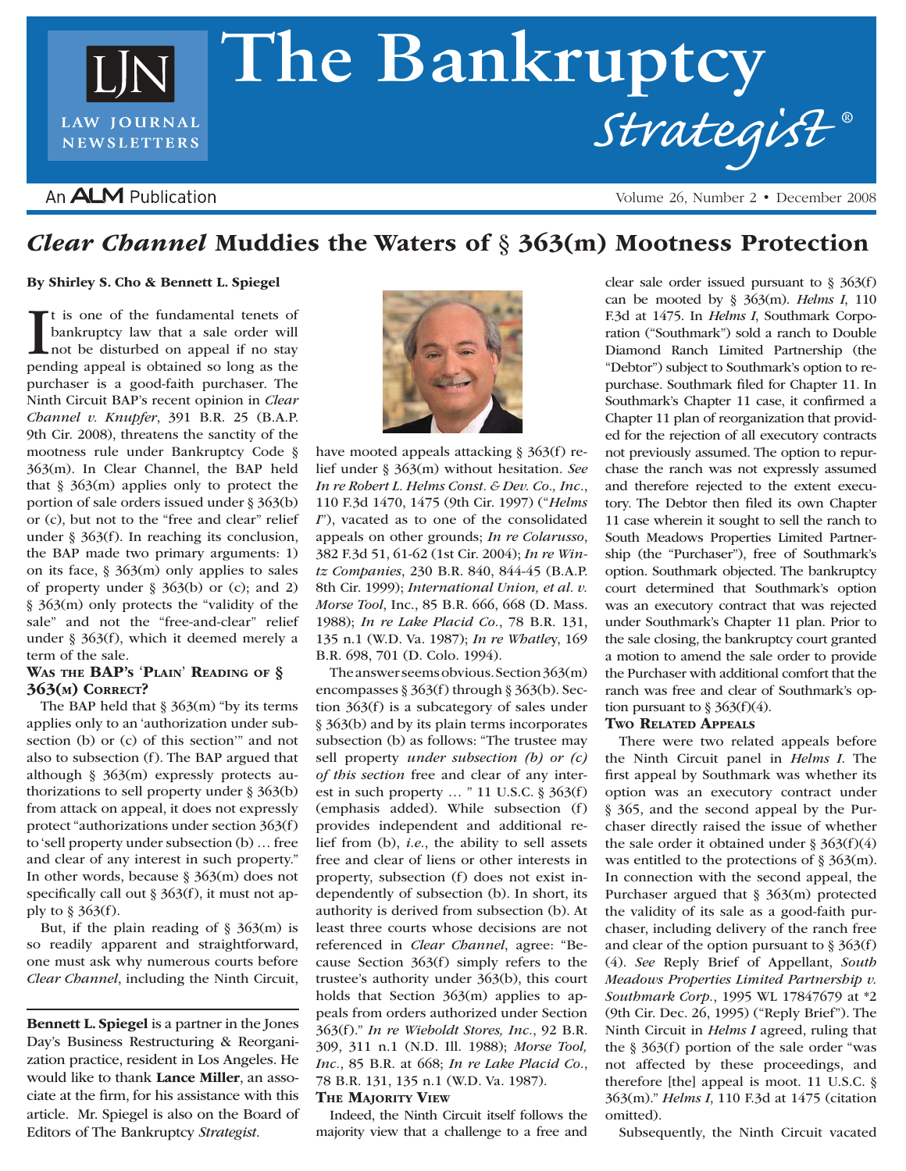# **The Bankruptcy** *Strategist* **®**LAW JOURNAL **NEWSLETTERS**

### An **ALM** Publication

Volume 26, Number 2 • December 2008

## *Clear Channel* Muddies the Waters of § 363(m) Mootness Protection

#### By Shirley S. Cho & Bennett L. Spiegel

It is one of the fundamental tenets of<br>bankruptcy law that a sale order will<br>not be disturbed on appeal if no stay<br>pending appeal is obtained so long as the t is one of the fundamental tenets of bankruptcy law that a sale order will not be disturbed on appeal if no stay purchaser is a good-faith purchaser. The Ninth Circuit BAP's recent opinion in *Clear Channel v. Knupfer*, 391 B.R. 25 (B.A.P. 9th Cir. 2008), threatens the sanctity of the mootness rule under Bankruptcy Code § 363(m). In Clear Channel, the BAP held that  $§$  363(m) applies only to protect the portion of sale orders issued under § 363(b) or (c), but not to the "free and clear" relief under § 363(f). In reaching its conclusion, the BAP made two primary arguments: 1) on its face,  $\S 363(m)$  only applies to sales of property under § 363(b) or (c); and 2) § 363(m) only protects the "validity of the sale" and not the "free-and-clear" relief under § 363(f), which it deemed merely a term of the sale.

#### WAS THE **BAP's 'PLAIN' READING OF §** 363(m) Correct?

The BAP held that  $\S 363(m)$  "by its terms applies only to an 'authorization under subsection (b) or (c) of this section'" and not also to subsection (f). The BAP argued that although § 363(m) expressly protects authorizations to sell property under § 363(b) from attack on appeal, it does not expressly protect "authorizations under section 363(f) to 'sell property under subsection (b) … free and clear of any interest in such property." In other words, because § 363(m) does not specifically call out § 363(f), it must not apply to § 363(f).

But, if the plain reading of  $\S$  363(m) is so readily apparent and straightforward, one must ask why numerous courts before *Clear Channel*, including the Ninth Circuit,

Bennett L. Spiegel is a partner in the Jones Day's Business Restructuring & Reorganization practice, resident in Los Angeles. He would like to thank Lance Miller, an associate at the firm, for his assistance with this article. Mr. Spiegel is also on the Board of Editors of The Bankruptcy *Strategist*.



have mooted appeals attacking § 363(f) relief under § 363(m) without hesitation. *See In re Robert L. Helms Const. & Dev. Co., Inc.*, 110 F.3d 1470, 1475 (9th Cir. 1997) ("*Helms I*"), vacated as to one of the consolidated appeals on other grounds; *In re Colarusso*, 382 F.3d 51, 61-62 (1st Cir. 2004); *In re Wintz Companies*, 230 B.R. 840, 844-45 (B.A.P. 8th Cir. 1999); *International Union, et al. v. Morse Tool*, Inc., 85 B.R. 666, 668 (D. Mass. 1988); *In re Lake Placid Co.*, 78 B.R. 131, 135 n.1 (W.D. Va. 1987); *In re Whatle*y, 169 B.R. 698, 701 (D. Colo. 1994).

The answer seems obvious. Section 363(m) encompasses § 363(f) through § 363(b). Section 363(f) is a subcategory of sales under § 363(b) and by its plain terms incorporates subsection (b) as follows: "The trustee may sell property *under subsection (b) or (c) of this section* free and clear of any interest in such property  $\ldots$  " 11 U.S.C. § 363(f) (emphasis added). While subsection (f) provides independent and additional relief from (b), *i.e.*, the ability to sell assets free and clear of liens or other interests in property, subsection (f) does not exist independently of subsection (b). In short, its authority is derived from subsection (b). At least three courts whose decisions are not referenced in *Clear Channel*, agree: "Because Section 363(f) simply refers to the trustee's authority under 363(b), this court holds that Section 363(m) applies to appeals from orders authorized under Section 363(f)." *In re Wieboldt Stores, Inc.*, 92 B.R. 309, 311 n.1 (N.D. Ill. 1988); *Morse Tool, Inc.*, 85 B.R. at 668; *In re Lake Placid Co.*, 78 B.R. 131, 135 n.1 (W.D. Va. 1987). **THE MAJORITY VIEW** 

Indeed, the Ninth Circuit itself follows the majority view that a challenge to a free and clear sale order issued pursuant to § 363(f) can be mooted by § 363(m). *Helms I*, 110 F.3d at 1475. In *Helms I*, Southmark Corporation ("Southmark") sold a ranch to Double Diamond Ranch Limited Partnership (the "Debtor") subject to Southmark's option to repurchase. Southmark filed for Chapter 11. In Southmark's Chapter 11 case, it confirmed a Chapter 11 plan of reorganization that provided for the rejection of all executory contracts not previously assumed. The option to repurchase the ranch was not expressly assumed and therefore rejected to the extent executory. The Debtor then filed its own Chapter 11 case wherein it sought to sell the ranch to South Meadows Properties Limited Partnership (the "Purchaser"), free of Southmark's option. Southmark objected. The bankruptcy court determined that Southmark's option was an executory contract that was rejected under Southmark's Chapter 11 plan. Prior to the sale closing, the bankruptcy court granted a motion to amend the sale order to provide the Purchaser with additional comfort that the ranch was free and clear of Southmark's option pursuant to  $\S 363(f)(4)$ .

#### Two Related Appeals

There were two related appeals before the Ninth Circuit panel in *Helms I*. The first appeal by Southmark was whether its option was an executory contract under § 365, and the second appeal by the Purchaser directly raised the issue of whether the sale order it obtained under  $\S 363(f)(4)$ was entitled to the protections of § 363(m). In connection with the second appeal, the Purchaser argued that § 363(m) protected the validity of its sale as a good-faith purchaser, including delivery of the ranch free and clear of the option pursuant to  $\S 363(f)$ (4). *See* Reply Brief of Appellant, *South Meadows Properties Limited Partnership v. Southmark Corp.*, 1995 WL 17847679 at \*2 (9th Cir. Dec. 26, 1995) ("Reply Brief"). The Ninth Circuit in *Helms I* agreed, ruling that the § 363(f) portion of the sale order "was not affected by these proceedings, and therefore [the] appeal is moot. 11 U.S.C. § 363(m)." *Helms I*, 110 F.3d at 1475 (citation omitted).

Subsequently, the Ninth Circuit vacated